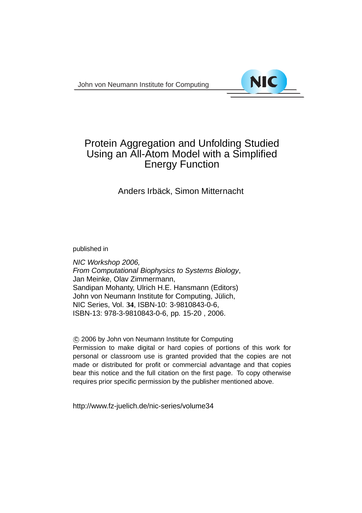John von Neumann Institute for Computing



# Protein Aggregation and Unfolding Studied Using an All-Atom Model with a Simplified Energy Function

## Anders Irbäck, Simon Mitternacht

published in

NIC Workshop 2006, From Computational Biophysics to Systems Biology, Jan Meinke, Olav Zimmermann, Sandipan Mohanty, Ulrich H.E. Hansmann (Editors) John von Neumann Institute for Computing, Jülich, NIC Series, Vol. **34**, ISBN-10: 3-9810843-0-6, ISBN-13: 978-3-9810843-0-6, pp. 15-20 , 2006.

c 2006 by John von Neumann Institute for Computing

Permission to make digital or hard copies of portions of this work for personal or classroom use is granted provided that the copies are not made or distributed for profit or commercial advantage and that copies bear this notice and the full citation on the first page. To copy otherwise requires prior specific permission by the publisher mentioned above.

http://www.fz-juelich.de/nic-series/volume34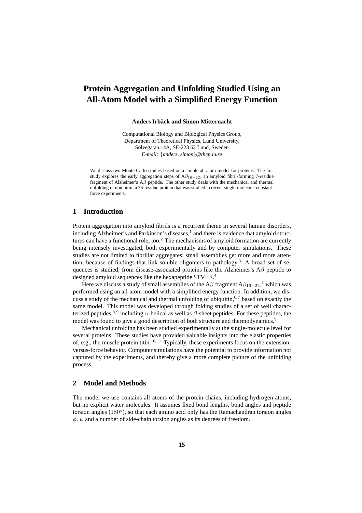## **Protein Aggregation and Unfolding Studied Using an All-Atom Model with a Simplified Energy Function**

#### **Anders Irbäck and Simon Mitternacht**

Computational Biology and Biological Physics Group, Department of Theoretical Physics, Lund University, Sölvegatan 14A, SE-223 62 Lund, Sweden *E-mail:* {*anders, simon*}*@thep.lu.se*

We discuss two Monte Carlo studies based on a simple all-atom model for proteins. The first study explores the early aggregation steps of  $A\beta_{16-22}$ , an amyloid fibril-forming 7-residue fragment of Alzheimer's Aβ peptide. The other study deals with the mechanical and thermal unfolding of ubiquitin, a 76-residue protein that was studied in recent single-molecule constantforce experiments.

#### **1 Introduction**

Protein aggregation into amyloid fibrils is a recurrent theme in several human disorders, including Alzheimer's and Parkinson's diseases, $<sup>1</sup>$  and there is evidence that amyloid struc-</sup> tures can have a functional role, too.<sup>2</sup> The mechanisms of amyloid formation are currently being intensely investigated, both experimentally and by computer simulations. These studies are not limited to fibrillar aggregates; small assemblies get more and more attention, because of findings that link soluble oligomers to pathology.<sup>3</sup> A broad set of sequences is studied, from disease-associated proteins like the Alzheimer's  $A\beta$  peptide to designed amyloid sequences like the hexapeptide STVIIE.<sup>4</sup>

Here we discuss a study of small assemblies of the A $\beta$  fragment A $\beta_{16-22}$ ,<sup>5</sup> which was performed using an all-atom model with a simplified energy function. In addition, we discuss a study of the mechanical and thermal unfolding of ubiquitin,  $6.7$  based on exactly the same model. This model was developed through folding studies of a set of well characterized peptides,<sup>8, 9</sup> including  $\alpha$ -helical as well as  $\beta$ -sheet peptides. For these peptides, the model was found to give a good description of both structure and thermodynamics.<sup>9</sup>

Mechanical unfolding has been studied experimentally at the single-molecule level for several proteins. These studies have provided valuable insights into the elastic properties of, e.g., the muscle protein titin.<sup>10, 11</sup> Typically, these experiments focus on the extensionversus-force behavior. Computer simulations have the potential to provide information not captured by the experiments, and thereby give a more complete picture of the unfolding process.

#### **2 Model and Methods**

The model we use contains all atoms of the protein chains, including hydrogen atoms, but no explicit water molecules. It assumes fixed bond lengths, bond angles and peptide torsion angles (180°), so that each amino acid only has the Ramachandran torsion angles  $\phi$ ,  $\psi$  and a number of side-chain torsion angles as its degrees of freedom.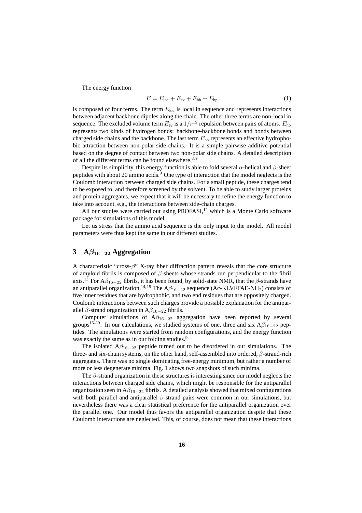The energy function

$$
E = Eloc + Eev + Ehb + Ehp
$$
 (1)

is composed of four terms. The term  $E_{\text{loc}}$  is local in sequence and represents interactions between adjacent backbone dipoles along the chain. The other three terms are non-local in sequence. The excluded volume term  $E_{ev}$  is a  $1/r^{12}$  repulsion between pairs of atoms.  $E_{hb}$ represents two kinds of hydrogen bonds: backbone-backbone bonds and bonds between charged side chains and the backbone. The last term  $E<sub>hp</sub>$  represents an effective hydrophobic attraction between non-polar side chains. It is a simple pairwise additive potential based on the degree of contact between two non-polar side chains. A detailed description of all the different terms can be found elsewhere. $8,9$ 

Despite its simplicity, this energy function is able to fold several  $\alpha$ -helical and  $\beta$ -sheet peptides with about 20 amino acids.<sup>9</sup> One type of interaction that the model neglects is the Coulomb interaction between charged side chains. For a small peptide, these charges tend to be exposed to, and therefore screened by the solvent. To be able to study larger proteins and protein aggregates, we expect that it will be necessary to refine the energy function to take into account, e.g., the interactions between side-chain charges.

All our studies were carried out using  $PROFASI<sub>1</sub><sup>12</sup>$  which is a Monte Carlo software package for simulations of this model.

Let us stress that the amino acid sequence is the only input to the model. All model parameters were thus kept the same in our different studies.

### **3 A**β16−<sup>22</sup> **Aggregation**

A characteristic "cross- $\beta$ " X-ray fiber diffraction pattern reveals that the core structure of amyloid fibrils is composed of  $\beta$ -sheets whose strands run perpendicular to the fibril axis.<sup>13</sup> For A $\beta_{16-22}$  fibrils, it has been found, by solid-state NMR, that the  $\beta$ -strands have an antiparallel organization.<sup>14, 15</sup> The  $A\beta_{16-22}$  sequence (Ac-KLVFFAE-NH<sub>2</sub>) consists of five inner residues that are hydrophobic, and two end residues that are oppositely charged. Coulomb interactions between such charges provide a possible explanation for the antiparallel  $\beta$ -strand organization in A $\beta_{16-22}$  fibrils.

Computer simulations of  $A\beta_{16-22}$  aggregation have been reported by several groups<sup>16–19</sup>. In our calculations, we studied systems of one, three and six  $A\beta_{16-22}$  peptides. The simulations were started from random configurations, and the energy function was exactly the same as in our folding studies.<sup>9</sup>

The isolated  $A\beta_{16-22}$  peptide turned out to be disordered in our simulations. The three- and six-chain systems, on the other hand, self-assembled into ordered, β-strand-rich aggregates. There was no single dominating free-energy minimum, but rather a number of more or less degenerate minima. Fig. 1 shows two snapshots of such minima.

The  $\beta$ -strand organization in these structures is interesting since our model neglects the interactions between charged side chains, which might be responsible for the antiparallel organization seen in  $A\beta_{16-22}$  fibrils. A detailed analysis showed that mixed configurations with both parallel and antiparallel  $\beta$ -strand pairs were common in our simulations, but nevertheless there was a clear statistical preference for the antiparallel organization over the parallel one. Our model thus favors the antiparallel organization despite that these Coulomb interactions are neglected. This, of course, does not mean that these interactions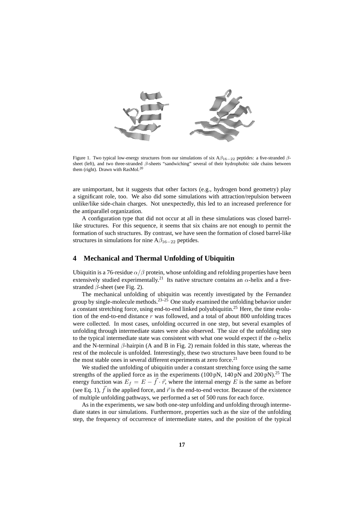

Figure 1. Two typical low-energy structures from our simulations of six  $A\beta_{16-22}$  peptides: a five-stranded  $\beta$ sheet (left), and two three-stranded β-sheets "sandwiching" several of their hydrophobic side chains between them (right). Drawn with RasMol.<sup>20</sup>

are unimportant, but it suggests that other factors (e.g., hydrogen bond geometry) play a significant role, too. We also did some simulations with attraction/repulsion between unlike/like side-chain charges. Not unexpectedly, this led to an increased preference for the antiparallel organization.

A configuration type that did not occur at all in these simulations was closed barrellike structures. For this sequence, it seems that six chains are not enough to permit the formation of such structures. By contrast, we have seen the formation of closed barrel-like structures in simulations for nine  $A\beta_{16-22}$  peptides.

### **4 Mechanical and Thermal Unfolding of Ubiquitin**

Ubiquitin is a 76-residue  $\alpha/\beta$  protein, whose unfolding and refolding properties have been extensively studied experimentally.<sup>21</sup> Its native structure contains an  $\alpha$ -helix and a fivestranded  $\beta$ -sheet (see Fig. 2).

The mechanical unfolding of ubiquitin was recently investigated by the Fernandez group by single-molecule methods.<sup>23–25</sup> One study examined the unfolding behavior under a constant stretching force, using end-to-end linked polyubiquitin.<sup>25</sup> Here, the time evolution of the end-to-end distance  $r$  was followed, and a total of about 800 unfolding traces were collected. In most cases, unfolding occurred in one step, but several examples of unfolding through intermediate states were also observed. The size of the unfolding step to the typical intermediate state was consistent with what one would expect if the  $\alpha$ -helix and the N-terminal  $\beta$ -hairpin (A and B in Fig. 2) remain folded in this state, whereas the rest of the molecule is unfolded. Interestingly, these two structures have been found to be the most stable ones in several different experiments at zero force. $21$ 

We studied the unfolding of ubiquitin under a constant stretching force using the same strengths of the applied force as in the experiments (100 pN, 140 pN and 200 pN).<sup>25</sup> The energy function was  $E_f = E - \vec{f} \cdot \vec{r}$ , where the internal energy E is the same as before (see Eq. 1),  $\vec{f}$  is the applied force, and  $\vec{r}$  is the end-to-end vector. Because of the existence of multiple unfolding pathways, we performed a set of 500 runs for each force.

As in the experiments, we saw both one-step unfolding and unfolding through intermediate states in our simulations. Furthermore, properties such as the size of the unfolding step, the frequency of occurrence of intermediate states, and the position of the typical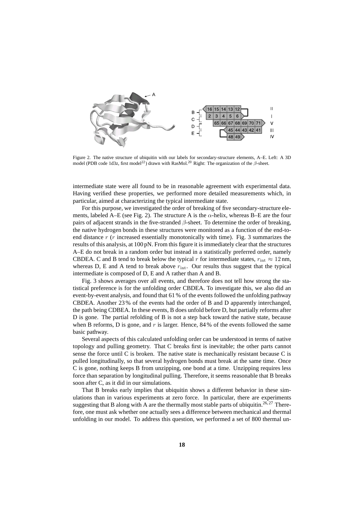

Figure 2. The native structure of ubiquitin with our labels for secondary-structure elements, A–E. Left: A 3D model (PDB code 1d3z, first model<sup>22</sup>) drawn with RasMol.<sup>20</sup> Right: The organization of the β-sheet.

intermediate state were all found to be in reasonable agreement with experimental data. Having verified these properties, we performed more detailed measurements which, in particular, aimed at characterizing the typical intermediate state.

For this purpose, we investigated the order of breaking of five secondary-structure elements, labeled A–E (see Fig. 2). The structure A is the  $\alpha$ -helix, whereas B–E are the four pairs of adjacent strands in the five-stranded  $\beta$ -sheet. To determine the order of breaking, the native hydrogen bonds in these structures were monitored as a function of the end-toend distance  $r(r)$  increased essentially monotonically with time). Fig. 3 summarizes the results of this analysis, at 100 pN. From this figure it is immediately clear that the structures A–E do not break in a random order but instead in a statistically preferred order, namely CBDEA. C and B tend to break below the typical r for intermediate states,  $r_{\text{int}} \approx 12 \text{ nm}$ , whereas D, E and A tend to break above  $r_{\text{int}}$ . Our results thus suggest that the typical intermediate is composed of D, E and A rather than A and B.

Fig. 3 shows averages over all events, and therefore does not tell how strong the statistical preference is for the unfolding order CBDEA. To investigate this, we also did an event-by-event analysis, and found that 61 % of the events followed the unfolding pathway CBDEA. Another 23 % of the events had the order of B and D apparently interchanged, the path being CDBEA. In these events, B does unfold before D, but partially reforms after D is gone. The partial refolding of B is not a step back toward the native state, because when B reforms, D is gone, and r is larger. Hence,  $84\%$  of the events followed the same basic pathway.

Several aspects of this calculated unfolding order can be understood in terms of native topology and pulling geometry. That C breaks first is inevitable; the other parts cannot sense the force until C is broken. The native state is mechanically resistant because C is pulled longitudinally, so that several hydrogen bonds must break at the same time. Once C is gone, nothing keeps B from unzipping, one bond at a time. Unzipping requires less force than separation by longitudinal pulling. Therefore, it seems reasonable that B breaks soon after C, as it did in our simulations.

That B breaks early implies that ubiquitin shows a different behavior in these simulations than in various experiments at zero force. In particular, there are experiments suggesting that B along with A are the thermally most stable parts of ubiquitin.<sup>26, 27</sup> Therefore, one must ask whether one actually sees a difference between mechanical and thermal unfolding in our model. To address this question, we performed a set of 800 thermal un-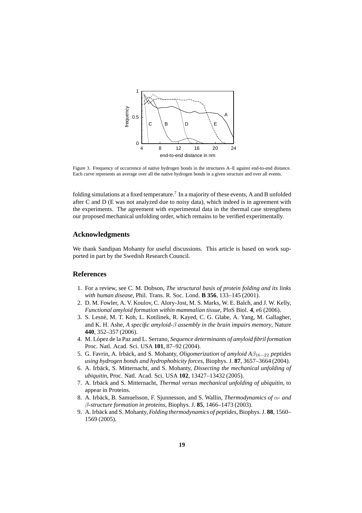

Figure 3. Frequency of occurrence of native hydrogen bonds in the structures A–E against end-to-end distance. Each curve represents an average over all the native hydrogen bonds in a given structure and over all events.

folding simulations at a fixed temperature.<sup>7</sup> In a majority of these events, A and B unfolded after C and D (E was not analyzed due to noisy data), which indeed is in agreement with the experiments. The agreement with experimental data in the thermal case strengthens our proposed mechanical unfolding order, which remains to be verified experimentally.

#### **Acknowledgments**

We thank Sandipan Mohanty for useful discussions. This article is based on work supported in part by the Swedish Research Council.

#### **References**

- 1. For a review, see C. M. Dobson, *The structural basis of protein folding and its links with human disease*, Phil. Trans. R. Soc. Lond. **B 356**, 133–145 (2001).
- 2. D. M. Fowler, A. V. Koulov, C. Alory-Jost, M. S. Marks, W. E. Balch, and J. W. Kelly, *Functional amyloid formation within mammalian tissue*, PloS Biol. **4**, e6 (2006).
- 3. S. Lesn´e, M. T. Koh, L. Kotilinek, R. Kayed, C. G. Glabe, A. Yang, M. Gallagher, and K. H. Ashe, *A specific amyloid-*β *assembly in the brain impairs memory*, Nature **440**, 352–357 (2006).
- 4. M. L´opez de la Paz and L. Serrano, *Sequence determinants of amyloid fibril formation* Proc. Natl. Acad. Sci. USA **101**, 87–92 (2004).
- 5. G. Favrin, A. Irb¨ack, and S. Mohanty, *Oligomerization of amyloid A*β<sup>16</sup>−<sup>22</sup> *peptides using hydrogen bonds and hydrophobicity forces*, Biophys. J. **87**, 3657–3664 (2004).
- 6. A. Irb¨ack, S. Mitternacht, and S. Mohanty, *Dissecting the mechanical unfolding of ubiquitin*, Proc. Natl. Acad. Sci. USA **102**, 13427–13432 (2005).
- 7. A. Irbäck and S. Mitternacht, *Thermal versus mechanical unfolding of ubiquitin*, to appear in Proteins.
- 8. A. Irbäck, B. Samuelsson, F. Sjunnesson, and S. Wallin, *Thermodynamics of* α *and* β*-structure formation in proteins*, Biophys. J. **85**, 1466–1473 (2003).
- 9. A. Irb¨ack and S. Mohanty, *Folding thermodynamics of peptides*, Biophys. J. **88**, 1560– 1569 (2005).